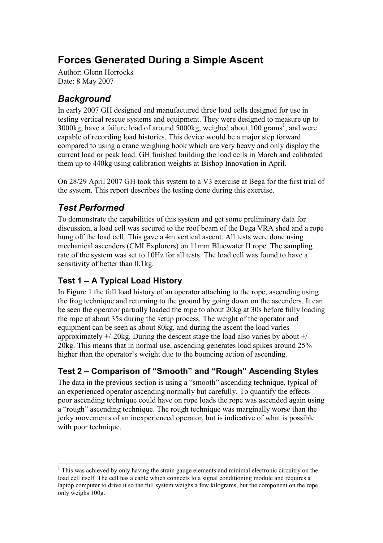# Forces Generated During a Simple Ascent

Author: Glenn Horrocks Date: 8 May 2007

## **Background**

In early 2007 GH designed and manufactured three load cells designed for use in testing vertical rescue systems and equipment. They were designed to measure up to  $3000$ kg, have a failure load of around  $5000$ kg, weighed about  $100$  grams<sup>1</sup>, and were capable of recording load histories. This device would be a major step forward compared to using a crane weighing hook which are very heavy and only display the current load or peak load. GH finished building the load cells in March and calibrated them up to 440kg using calibration weights at Bishop Innovation in April.

On 28/29 April 2007 GH took this system to a V3 exercise at Bega for the first trial of the system. This report describes the testing done during this exercise.

### Test Performed

To demonstrate the capabilities of this system and get some preliminary data for discussion, a load cell was secured to the roof beam of the Bega VRA shed and a rope hung off the load cell. This gave a 4m vertical ascent. All tests were done using mechanical ascenders (CMI Explorers) on 11mm Bluewater II rope. The sampling rate of the system was set to 10Hz for all tests. The load cell was found to have a sensitivity of better than 0.1kg.

#### Test 1 – A Typical Load History

In Figure 1 the full load history of an operator attaching to the rope, ascending using the frog technique and returning to the ground by going down on the ascenders. It can be seen the operator partially loaded the rope to about 20kg at 30s before fully loading the rope at about 35s during the setup process. The weight of the operator and equipment can be seen as about 80kg, and during the ascent the load varies approximately +/-20kg. During the descent stage the load also varies by about +/- 20kg. This means that in normal use, ascending generates load spikes around 25% higher than the operator's weight due to the bouncing action of ascending.

## Test 2 – Comparison of "Smooth" and "Rough" Ascending Styles

The data in the previous section is using a "smooth" ascending technique, typical of an experienced operator ascending normally but carefully. To quantify the effects poor ascending technique could have on rope loads the rope was ascended again using a "rough" ascending technique. The rough technique was marginally worse than the jerky movements of an inexperienced operator, but is indicative of what is possible with poor technique.

 $\overline{a}$ <sup>1</sup> This was achieved by only having the strain gauge elements and minimal electronic circuitry on the load cell itself. The cell has a cable which connects to a signal conditioning module and requires a laptop computer to drive it so the full system weighs a few kilograms, but the component on the rope only weighs 100g.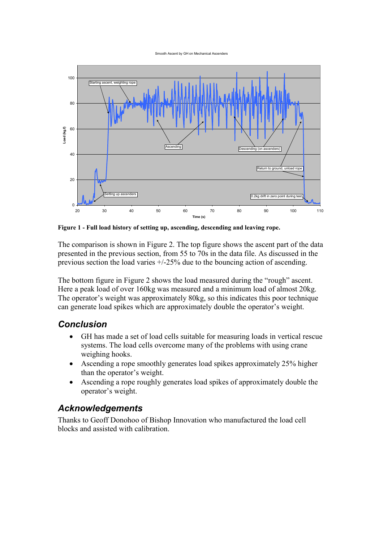Smooth Ascent by GH on Mechanical Ascenders



Figure 1 - Full load history of setting up, ascending, descending and leaving rope.

The comparison is shown in Figure 2. The top figure shows the ascent part of the data presented in the previous section, from 55 to 70s in the data file. As discussed in the previous section the load varies +/-25% due to the bouncing action of ascending.

The bottom figure in Figure 2 shows the load measured during the "rough" ascent. Here a peak load of over 160kg was measured and a minimum load of almost 20kg. The operator's weight was approximately 80kg, so this indicates this poor technique can generate load spikes which are approximately double the operator's weight.

#### Conclusion

- GH has made a set of load cells suitable for measuring loads in vertical rescue systems. The load cells overcome many of the problems with using crane weighing hooks.
- Ascending a rope smoothly generates load spikes approximately 25% higher than the operator's weight.
- Ascending a rope roughly generates load spikes of approximately double the operator's weight.

#### Acknowledgements

Thanks to Geoff Donohoo of Bishop Innovation who manufactured the load cell blocks and assisted with calibration.